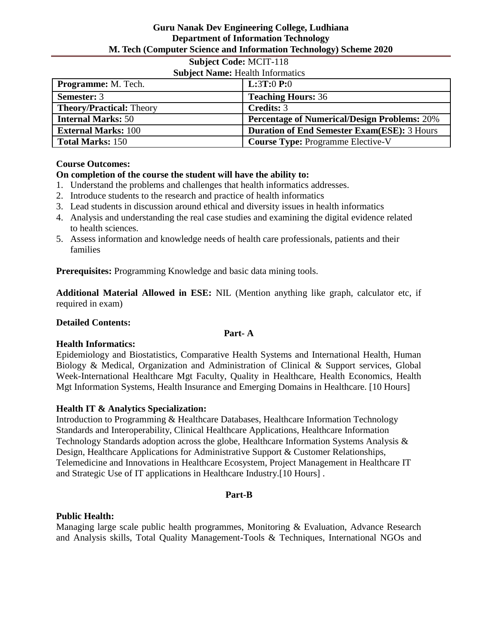# **Subject Code:** MCIT-118

| <b>Subject Name: Health Informatics</b> |                                                     |
|-----------------------------------------|-----------------------------------------------------|
| <b>Programme:</b> M. Tech.              | <b>L:3T:0 P:0</b>                                   |
| <b>Semester: 3</b>                      | <b>Teaching Hours: 36</b>                           |
| <b>Theory/Practical: Theory</b>         | <b>Credits: 3</b>                                   |
| <b>Internal Marks: 50</b>               | <b>Percentage of Numerical/Design Problems: 20%</b> |
| <b>External Marks: 100</b>              | <b>Duration of End Semester Exam(ESE): 3 Hours</b>  |
| <b>Total Marks: 150</b>                 | <b>Course Type: Programme Elective-V</b>            |

# **Course Outcomes:**

# **On completion of the course the student will have the ability to:**

- 1. Understand the problems and challenges that health informatics addresses.
- 2. Introduce students to the research and practice of health informatics
- 3. Lead students in discussion around ethical and diversity issues in health informatics
- 4. Analysis and understanding the real case studies and examining the digital evidence related to health sciences.
- 5. Assess information and knowledge needs of health care professionals, patients and their families

**Prerequisites:** Programming Knowledge and basic data mining tools.

**Additional Material Allowed in ESE:** NIL (Mention anything like graph, calculator etc, if required in exam)

#### **Detailed Contents:**

#### **Part- A**

#### **Health Informatics:**

Epidemiology and Biostatistics, Comparative Health Systems and International Health, Human Biology & Medical, Organization and Administration of Clinical & Support services, Global Week-International Healthcare Mgt Faculty, Quality in Healthcare, Health Economics, Health Mgt Information Systems, Health Insurance and Emerging Domains in Healthcare. [10 Hours]

# **Health IT & Analytics Specialization:**

Introduction to Programming & Healthcare Databases, Healthcare Information Technology Standards and Interoperability, Clinical Healthcare Applications, Healthcare Information Technology Standards adoption across the globe, Healthcare Information Systems Analysis & Design, Healthcare Applications for Administrative Support & Customer Relationships, Telemedicine and Innovations in Healthcare Ecosystem, Project Management in Healthcare IT and Strategic Use of IT applications in Healthcare Industry.[10 Hours] .

#### **Part-B**

# **Public Health:**

Managing large scale public health programmes, Monitoring & Evaluation, Advance Research and Analysis skills, Total Quality Management-Tools & Techniques, International NGOs and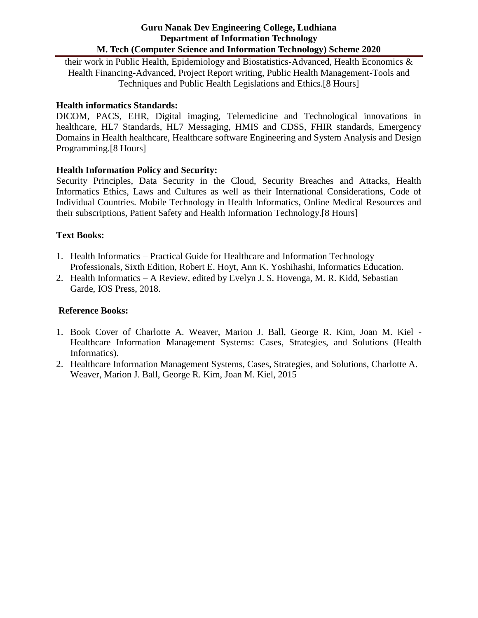their work in Public Health, Epidemiology and Biostatistics-Advanced, Health Economics & Health Financing-Advanced, Project Report writing, Public Health Management-Tools and Techniques and Public Health Legislations and Ethics.[8 Hours]

# **Health informatics Standards:**

DICOM, PACS, EHR, Digital imaging, Telemedicine and Technological innovations in healthcare, HL7 Standards, HL7 Messaging, HMIS and CDSS, FHIR standards, Emergency Domains in Health healthcare, Healthcare software Engineering and System Analysis and Design Programming.[8 Hours]

# **Health Information Policy and Security:**

Security Principles, Data Security in the Cloud, Security Breaches and Attacks, Health Informatics Ethics, Laws and Cultures as well as their International Considerations, Code of Individual Countries. Mobile Technology in Health Informatics, Online Medical Resources and their subscriptions, Patient Safety and Health Information Technology.[8 Hours]

# **Text Books:**

- 1. Health Informatics Practical Guide for Healthcare and Information Technology Professionals, Sixth Edition, Robert E. Hoyt, Ann K. Yoshihashi, Informatics Education.
- 2. Health Informatics A Review, edited by Evelyn J. S. Hovenga, M. R. Kidd, Sebastian Garde, IOS Press, 2018.

### **Reference Books:**

- 1. Book Cover of Charlotte A. Weaver, Marion J. Ball, George R. Kim, Joan M. Kiel Healthcare Information Management Systems: Cases, Strategies, and Solutions (Health Informatics).
- 2. Healthcare Information Management Systems, Cases, Strategies, and Solutions, Charlotte A. Weaver, Marion J. Ball, George R. Kim, Joan M. Kiel, 2015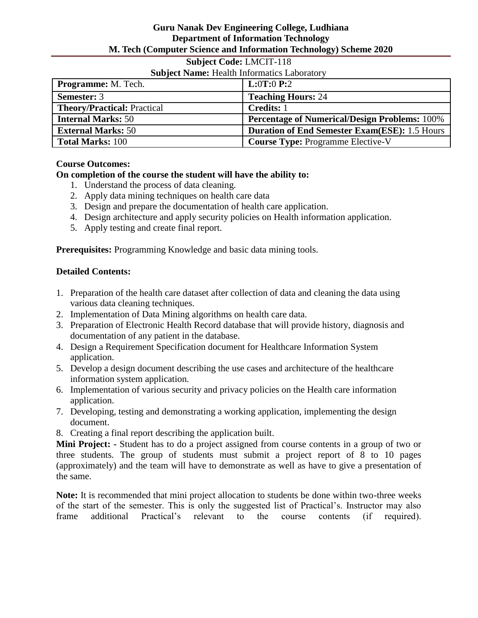# **Subject Code:** LMCIT-118

# **Subject Name:** Health Informatics Laboratory

| <b>Programme:</b> M. Tech.         | <b>L:0T:0 P:2</b>                                    |
|------------------------------------|------------------------------------------------------|
| <b>Semester: 3</b>                 | <b>Teaching Hours: 24</b>                            |
| <b>Theory/Practical: Practical</b> | <b>Credits:</b> 1                                    |
| <b>Internal Marks: 50</b>          | <b>Percentage of Numerical/Design Problems: 100%</b> |
| <b>External Marks: 50</b>          | <b>Duration of End Semester Exam(ESE): 1.5 Hours</b> |
| <b>Total Marks: 100</b>            | <b>Course Type: Programme Elective-V</b>             |

# **Course Outcomes:**

# **On completion of the course the student will have the ability to:**

- 1. Understand the process of data cleaning.
- 2. Apply data mining techniques on health care data
- 3. Design and prepare the documentation of health care application.
- 4. Design architecture and apply security policies on Health information application.
- 5. Apply testing and create final report.

**Prerequisites:** Programming Knowledge and basic data mining tools.

# **Detailed Contents:**

- 1. Preparation of the health care dataset after collection of data and cleaning the data using various data cleaning techniques.
- 2. Implementation of Data Mining algorithms on health care data.
- 3. Preparation of Electronic Health Record database that will provide history, diagnosis and documentation of any patient in the database.
- 4. Design a Requirement Specification document for Healthcare Information System application.
- 5. Develop a design document describing the use cases and architecture of the healthcare information system application.
- 6. Implementation of various security and privacy policies on the Health care information application.
- 7. Developing, testing and demonstrating a working application, implementing the design document.
- 8. Creating a final report describing the application built.

**Mini Project: -** Student has to do a project assigned from course contents in a group of two or three students. The group of students must submit a project report of 8 to 10 pages (approximately) and the team will have to demonstrate as well as have to give a presentation of the same.

**Note:** It is recommended that mini project allocation to students be done within two-three weeks of the start of the semester. This is only the suggested list of Practical's. Instructor may also frame additional Practical's relevant to the course contents (if required).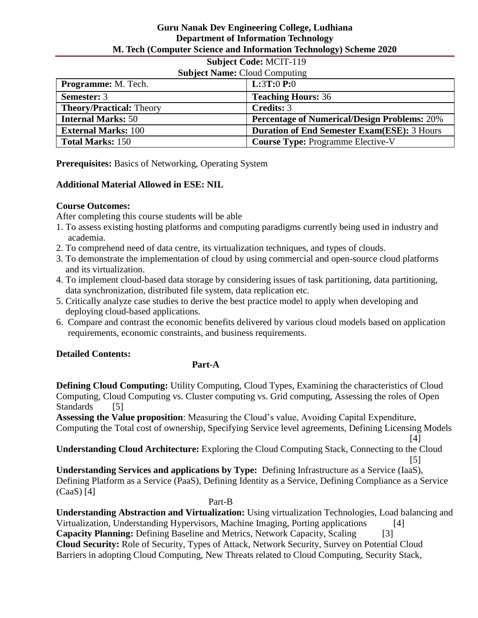# **Subject Code:** MCIT-119

| <b>Subject Name: Cloud Computing</b> |                                                     |
|--------------------------------------|-----------------------------------------------------|
| <b>Programme:</b> M. Tech.           | <b>L:3T:0 P:0</b>                                   |
| <b>Semester: 3</b>                   | <b>Teaching Hours: 36</b>                           |
| <b>Theory/Practical: Theory</b>      | Credits: 3                                          |
| <b>Internal Marks: 50</b>            | <b>Percentage of Numerical/Design Problems: 20%</b> |
| <b>External Marks: 100</b>           | <b>Duration of End Semester Exam(ESE): 3 Hours</b>  |
| <b>Total Marks: 150</b>              | <b>Course Type: Programme Elective-V</b>            |

**Prerequisites:** Basics of Networking, Operating System

# **Additional Material Allowed in ESE: NIL**

# **Course Outcomes:**

After completing this course students will be able

- 1. To assess existing hosting platforms and computing paradigms currently being used in industry and academia.
- 2. To comprehend need of data centre, its virtualization techniques, and types of clouds.
- 3. To demonstrate the implementation of cloud by using commercial and open-source cloud platforms and its virtualization.
- 4. To implement cloud-based data storage by considering issues of task partitioning, data partitioning, data synchronization, distributed file system, data replication etc.
- 5. Critically analyze case studies to derive the best practice model to apply when developing and deploying cloud-based applications.
- 6. Compare and contrast the economic benefits delivered by various cloud models based on application requirements, economic constraints, and business requirements.

# **Detailed Contents:**

# **Part-A**

**Defining Cloud Computing:** Utility Computing, Cloud Types, Examining the characteristics of Cloud Computing, Cloud Computing vs. Cluster computing vs. Grid computing, Assessing the roles of Open Standards [5]

**Assessing the Value proposition**: Measuring the Cloud's value, Avoiding Capital Expenditure, Computing the Total cost of ownership, Specifying Service level agreements, Defining Licensing Models

 [4] **Understanding Cloud Architecture:** Exploring the Cloud Computing Stack, Connecting to the Cloud

 $[5]$ **Understanding Services and applications by Type:** Defining Infrastructure as a Service (IaaS), Defining Platform as a Service (PaaS), Defining Identity as a Service, Defining Compliance as a Service (CaaS) [4]

#### Part-B

**Understanding Abstraction and Virtualization:** Using virtualization Technologies, Load balancing and Virtualization, Understanding Hypervisors, Machine Imaging, Porting applications [4] **Capacity Planning:** Defining Baseline and Metrics, Network Capacity, Scaling [3] **Cloud Security:** Role of Security, Types of Attack, Network Security, Survey on Potential Cloud Barriers in adopting Cloud Computing, New Threats related to Cloud Computing, Security Stack,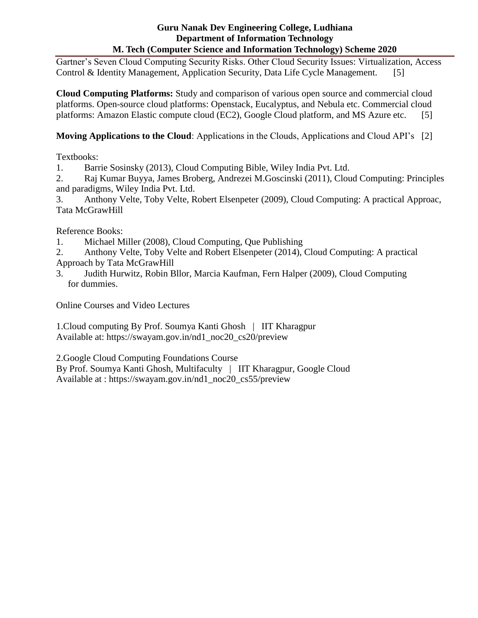Gartner's Seven Cloud Computing Security Risks. Other Cloud Security Issues: Virtualization, Access Control & Identity Management, Application Security, Data Life Cycle Management. [5]

**Cloud Computing Platforms:** Study and comparison of various open source and commercial cloud platforms. Open-source cloud platforms: Openstack, Eucalyptus, and Nebula etc. Commercial cloud platforms: Amazon Elastic compute cloud (EC2), Google Cloud platform, and MS Azure etc. [5]

**Moving Applications to the Cloud**: Applications in the Clouds, Applications and Cloud API's [2]

Textbooks:

1. Barrie Sosinsky (2013), Cloud Computing Bible, Wiley India Pvt. Ltd.

2. Raj Kumar Buyya, James Broberg, Andrezei M.Goscinski (2011), Cloud Computing: Principles and paradigms, Wiley India Pvt. Ltd.

3. Anthony Velte, Toby Velte, Robert Elsenpeter (2009), Cloud Computing: A practical Approac, Tata McGrawHill

Reference Books:

1. Michael Miller (2008), Cloud Computing, Que Publishing

2. Anthony Velte, Toby Velte and Robert Elsenpeter (2014), Cloud Computing: A practical Approach by Tata McGrawHill

3. Judith Hurwitz, Robin Bllor, Marcia Kaufman, Fern Halper (2009), Cloud Computing for dummies.

Online Courses and Video Lectures

1.Cloud computing By Prof. Soumya Kanti Ghosh | IIT Kharagpur Available at: https://swayam.gov.in/nd1\_noc20\_cs20/preview

2.Google Cloud Computing Foundations Course

By Prof. Soumya Kanti Ghosh, Multifaculty | IIT Kharagpur, Google Cloud Available at : https://swayam.gov.in/nd1\_noc20\_cs55/preview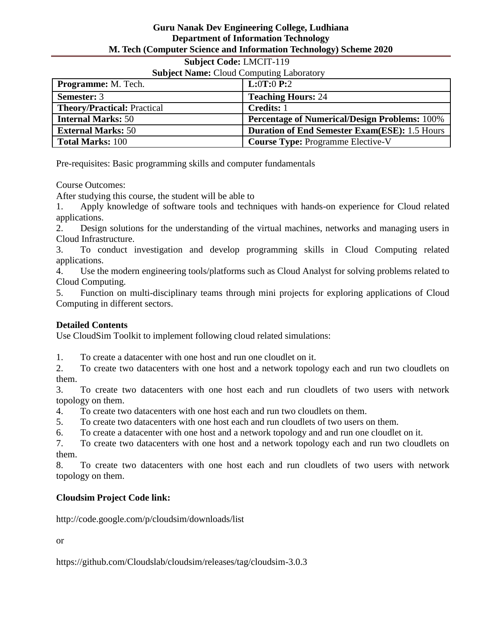# **Subject Code:** LMCIT-119

| <b>Subject Name: Cloud Computing Laboratory</b> |                                                      |
|-------------------------------------------------|------------------------------------------------------|
| <b>Programme:</b> M. Tech.                      | <b>L:0T:0 P:2</b>                                    |
| <b>Semester: 3</b>                              | <b>Teaching Hours: 24</b>                            |
| <b>Theory/Practical: Practical</b>              | <b>Credits: 1</b>                                    |
| <b>Internal Marks: 50</b>                       | <b>Percentage of Numerical/Design Problems: 100%</b> |
| <b>External Marks: 50</b>                       | <b>Duration of End Semester Exam(ESE): 1.5 Hours</b> |
| <b>Total Marks: 100</b>                         | <b>Course Type: Programme Elective-V</b>             |

Pre-requisites: Basic programming skills and computer fundamentals

Course Outcomes:

After studying this course, the student will be able to

1. Apply knowledge of software tools and techniques with hands-on experience for Cloud related applications.

2. Design solutions for the understanding of the virtual machines, networks and managing users in Cloud Infrastructure.

3. To conduct investigation and develop programming skills in Cloud Computing related applications.

4. Use the modern engineering tools/platforms such as Cloud Analyst for solving problems related to Cloud Computing.

5. Function on multi-disciplinary teams through mini projects for exploring applications of Cloud Computing in different sectors.

# **Detailed Contents**

Use CloudSim Toolkit to implement following cloud related simulations:

1. To create a datacenter with one host and run one cloudlet on it.

2. To create two datacenters with one host and a network topology each and run two cloudlets on them.

3. To create two datacenters with one host each and run cloudlets of two users with network topology on them.

4. To create two datacenters with one host each and run two cloudlets on them.

5. To create two datacenters with one host each and run cloudlets of two users on them.

6. To create a datacenter with one host and a network topology and and run one cloudlet on it.

7. To create two datacenters with one host and a network topology each and run two cloudlets on them.

8. To create two datacenters with one host each and run cloudlets of two users with network topology on them.

# **Cloudsim Project Code link:**

http://code.google.com/p/cloudsim/downloads/list

or

https://github.com/Cloudslab/cloudsim/releases/tag/cloudsim-3.0.3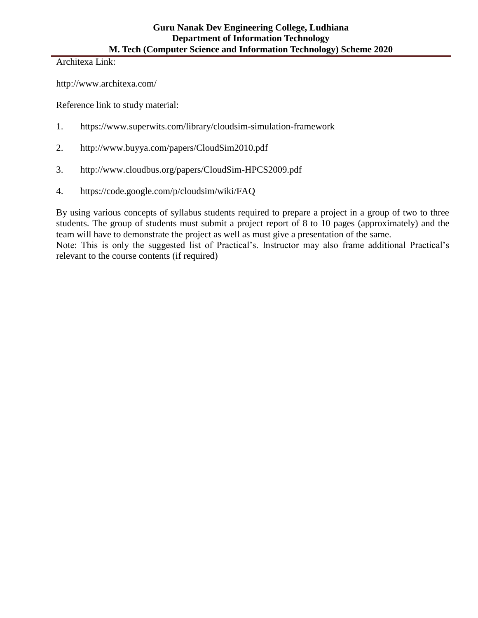Architexa Link:

http://www.architexa.com/

Reference link to study material:

- 1. https://www.superwits.com/library/cloudsim-simulation-framework
- 2. http://www.buyya.com/papers/CloudSim2010.pdf
- 3. http://www.cloudbus.org/papers/CloudSim-HPCS2009.pdf
- 4. https://code.google.com/p/cloudsim/wiki/FAQ

By using various concepts of syllabus students required to prepare a project in a group of two to three students. The group of students must submit a project report of 8 to 10 pages (approximately) and the team will have to demonstrate the project as well as must give a presentation of the same. Note: This is only the suggested list of Practical's. Instructor may also frame additional Practical's relevant to the course contents (if required)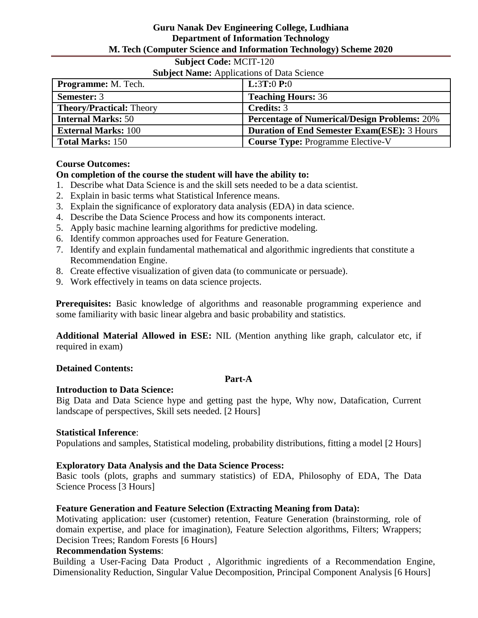# **Subject Code:** MCIT-120

#### **Subject Name:** Applications of Data Science

| Dasjeet Hanne, Hppheadons of Band Selence |                                                     |
|-------------------------------------------|-----------------------------------------------------|
| <b>Programme:</b> M. Tech.                | <b>L:3T:0 P:0</b>                                   |
| <b>Semester: 3</b>                        | <b>Teaching Hours: 36</b>                           |
| <b>Theory/Practical: Theory</b>           | <b>Credits: 3</b>                                   |
| <b>Internal Marks: 50</b>                 | <b>Percentage of Numerical/Design Problems: 20%</b> |
| <b>External Marks: 100</b>                | <b>Duration of End Semester Exam(ESE): 3 Hours</b>  |
| <b>Total Marks: 150</b>                   | <b>Course Type: Programme Elective-V</b>            |

#### **Course Outcomes:**

# **On completion of the course the student will have the ability to:**

- 1. Describe what Data Science is and the skill sets needed to be a data scientist.
- 2. Explain in basic terms what Statistical Inference means.
- 3. Explain the significance of exploratory data analysis (EDA) in data science.
- 4. Describe the Data Science Process and how its components interact.
- 5. Apply basic machine learning algorithms for predictive modeling.
- 6. Identify common approaches used for Feature Generation.
- 7. Identify and explain fundamental mathematical and algorithmic ingredients that constitute a Recommendation Engine.
- 8. Create effective visualization of given data (to communicate or persuade).
- 9. Work effectively in teams on data science projects.

**Prerequisites:** Basic knowledge of algorithms and reasonable programming experience and some familiarity with basic linear algebra and basic probability and statistics.

**Additional Material Allowed in ESE:** NIL (Mention anything like graph, calculator etc, if required in exam)

#### **Detained Contents:**

#### **Part-A**

# **Introduction to Data Science:**

Big Data and Data Science hype and getting past the hype, Why now, Datafication, Current landscape of perspectives, Skill sets needed. [2 Hours]

#### **Statistical Inference**:

Populations and samples, Statistical modeling, probability distributions, fitting a model [2 Hours]

# **Exploratory Data Analysis and the Data Science Process:**

Basic tools (plots, graphs and summary statistics) of EDA, Philosophy of EDA, The Data Science Process [3 Hours]

# **Feature Generation and Feature Selection (Extracting Meaning from Data):**

Motivating application: user (customer) retention, Feature Generation (brainstorming, role of domain expertise, and place for imagination), Feature Selection algorithms, Filters; Wrappers; Decision Trees; Random Forests [6 Hours]

# **Recommendation Systems**:

Building a User-Facing Data Product , Algorithmic ingredients of a Recommendation Engine, Dimensionality Reduction, Singular Value Decomposition, Principal Component Analysis [6 Hours]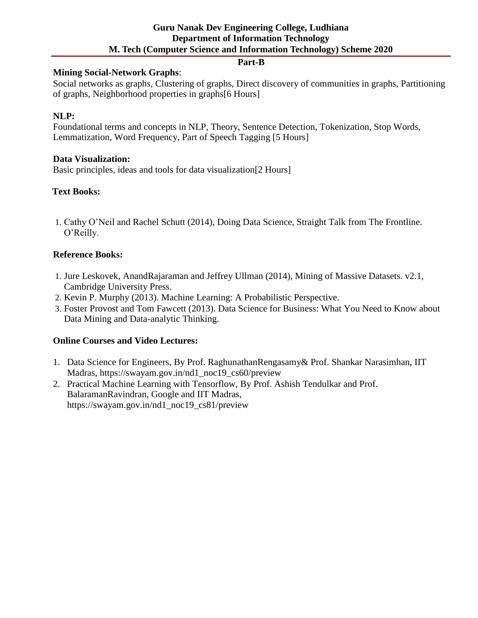#### **Part-B**

### **Mining Social-Network Graphs**:

Social networks as graphs, Clustering of graphs, Direct discovery of communities in graphs, Partitioning of graphs, Neighborhood properties in graphs[6 Hours]

# **NLP:**

Foundational terms and concepts in NLP, Theory, Sentence Detection, Tokenization, Stop Words, Lemmatization, Word Frequency, Part of Speech Tagging [5 Hours]

#### **Data Visualization:**

Basic principles, ideas and tools for data visualization[2 Hours]

# **Text Books:**

1. Cathy O'Neil and Rachel Schutt (2014), Doing Data Science, Straight Talk from The Frontline. O'Reilly.

# **Reference Books:**

- 1. Jure Leskovek, AnandRajaraman and Jeffrey Ullman (2014), Mining of Massive Datasets. v2.1, Cambridge University Press.
- 2. Kevin P. Murphy (2013). Machine Learning: A Probabilistic Perspective.
- 3. Foster Provost and Tom Fawcett (2013). Data Science for Business: What You Need to Know about Data Mining and Data-analytic Thinking.

#### **Online Courses and Video Lectures:**

- 1. Data Science for Engineers, By Prof. RaghunathanRengasamy& Prof. Shankar Narasimhan, IIT Madras, https://swayam.gov.in/nd1\_noc19\_cs60/preview
- 2. Practical Machine Learning with Tensorflow, By Prof. Ashish Tendulkar and Prof. BalaramanRavindran, Google and IIT Madras, https://swayam.gov.in/nd1\_noc19\_cs81/preview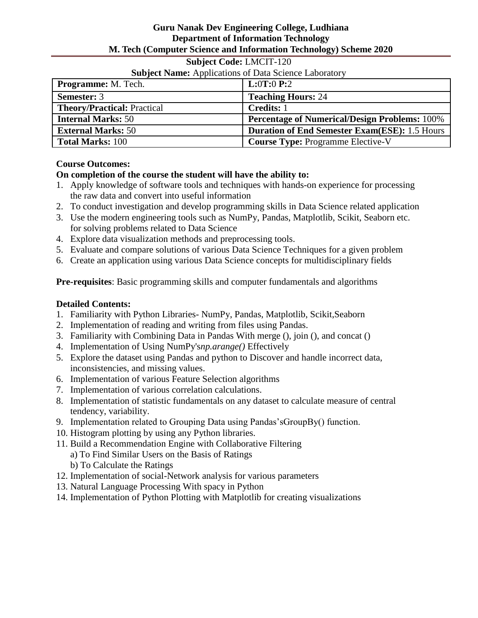#### **Subject Code:** LMCIT-120

# **Subject Name:** Applications of Data Science Laboratory

| <b>Programme:</b> M. Tech.         | <b>L:0T:0 P:2</b>                                    |
|------------------------------------|------------------------------------------------------|
| <b>Semester: 3</b>                 | <b>Teaching Hours: 24</b>                            |
| <b>Theory/Practical: Practical</b> | <b>Credits:</b> 1                                    |
| <b>Internal Marks: 50</b>          | <b>Percentage of Numerical/Design Problems: 100%</b> |
| <b>External Marks: 50</b>          | <b>Duration of End Semester Exam(ESE): 1.5 Hours</b> |
| <b>Total Marks: 100</b>            | <b>Course Type: Programme Elective-V</b>             |

#### **Course Outcomes:**

#### **On completion of the course the student will have the ability to:**

- 1. Apply knowledge of software tools and techniques with hands-on experience for processing the raw data and convert into useful information
- 2. To conduct investigation and develop programming skills in Data Science related application
- 3. Use the modern engineering tools such as NumPy, Pandas, Matplotlib, Scikit, Seaborn etc. for solving problems related to Data Science
- 4. Explore data visualization methods and preprocessing tools.
- 5. Evaluate and compare solutions of various Data Science Techniques for a given problem
- 6. Create an application using various Data Science concepts for multidisciplinary fields

**Pre-requisites**: Basic programming skills and computer fundamentals and algorithms

# **Detailed Contents:**

- 1. Familiarity with Python Libraries- NumPy, Pandas, Matplotlib, Scikit,Seaborn
- 2. Implementation of reading and writing from files using Pandas.
- 3. Familiarity with Combining Data in Pandas With merge (), join (), and concat ()
- 4. Implementation of Using NumPy's*np.arange()* Effectively
- 5. Explore the dataset using Pandas and python to Discover and handle incorrect data, inconsistencies, and missing values.
- 6. Implementation of various Feature Selection algorithms
- 7. Implementation of various correlation calculations.
- 8. Implementation of statistic fundamentals on any dataset to calculate measure of central tendency, variability.
- 9. Implementation related to Grouping Data using Pandas'sGroupBy() function.
- 10. Histogram plotting by using any Python libraries.
- 11. Build a Recommendation Engine with Collaborative Filtering
	- a) To Find Similar Users on the Basis of Ratings
	- b) To Calculate the Ratings
- 12. Implementation of social-Network analysis for various parameters
- 13. Natural Language Processing With spacy in Python
- 14. Implementation of Python Plotting with Matplotlib for creating visualizations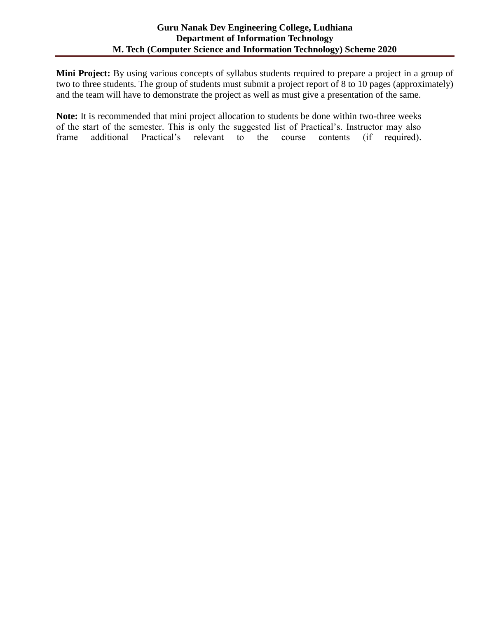**Mini Project:** By using various concepts of syllabus students required to prepare a project in a group of two to three students. The group of students must submit a project report of 8 to 10 pages (approximately) and the team will have to demonstrate the project as well as must give a presentation of the same.

**Note:** It is recommended that mini project allocation to students be done within two-three weeks of the start of the semester. This is only the suggested list of Practical's. Instructor may also frame additional Practical's relevant to the course contents (if required).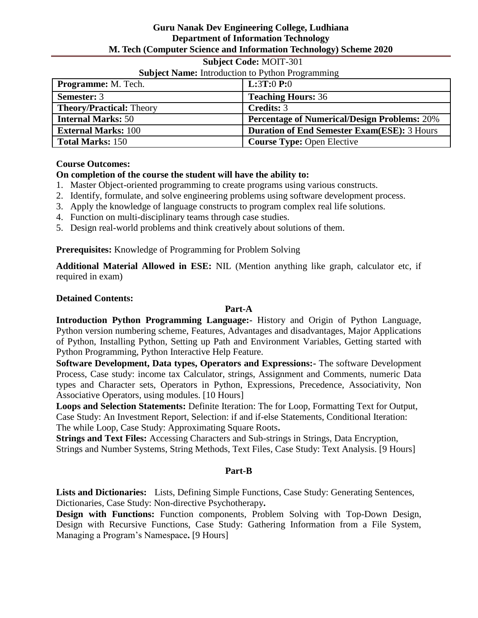#### **Subject Code:** MOIT-301

# **Subject Name:** Introduction to Python Programming

| <b>Programme:</b> M. Tech.      | <b>L:3T:0 P:0</b>                                   |
|---------------------------------|-----------------------------------------------------|
| <b>Semester: 3</b>              | <b>Teaching Hours: 36</b>                           |
| <b>Theory/Practical: Theory</b> | <b>Credits: 3</b>                                   |
| <b>Internal Marks: 50</b>       | <b>Percentage of Numerical/Design Problems: 20%</b> |
| <b>External Marks: 100</b>      | <b>Duration of End Semester Exam(ESE): 3 Hours</b>  |
| <b>Total Marks: 150</b>         | <b>Course Type: Open Elective</b>                   |

#### **Course Outcomes:**

# **On completion of the course the student will have the ability to:**

- 1. Master Object-oriented programming to create programs using various constructs.
- 2. Identify, formulate, and solve engineering problems using software development process.
- 3. Apply the knowledge of language constructs to program complex real life solutions.
- 4. Function on multi-disciplinary teams through case studies.
- 5. Design real-world problems and think creatively about solutions of them.

**Prerequisites:** Knowledge of Programming for Problem Solving

**Additional Material Allowed in ESE:** NIL (Mention anything like graph, calculator etc, if required in exam)

#### **Detained Contents:**

#### **Part-A**

**Introduction Python Programming Language:-** History and Origin of Python Language, Python version numbering scheme, Features, Advantages and disadvantages, Major Applications of Python, Installing Python, Setting up Path and Environment Variables, Getting started with Python Programming, Python Interactive Help Feature.

**Software Development, Data types, Operators and Expressions:-** The software Development Process, Case study: income tax Calculator, strings, Assignment and Comments, numeric Data types and Character sets, Operators in Python, Expressions, Precedence, Associativity, Non Associative Operators, using modules. [10 Hours]

**Loops and Selection Statements:** Definite Iteration: The for Loop, Formatting Text for Output, Case Study: An Investment Report, Selection: if and if-else Statements, Conditional Iteration: The while Loop, Case Study: Approximating Square Roots**.**

**Strings and Text Files:** Accessing Characters and Sub-strings in Strings, Data Encryption, Strings and Number Systems, String Methods, Text Files, Case Study: Text Analysis. [9 Hours]

#### **Part-B**

**Lists and Dictionaries:** Lists, Defining Simple Functions, Case Study: Generating Sentences, Dictionaries, Case Study: Non-directive Psychotherapy**.**

**Design with Functions:** Function components, Problem Solving with Top-Down Design, Design with Recursive Functions, Case Study: Gathering Information from a File System, Managing a Program's Namespace**.** [9 Hours]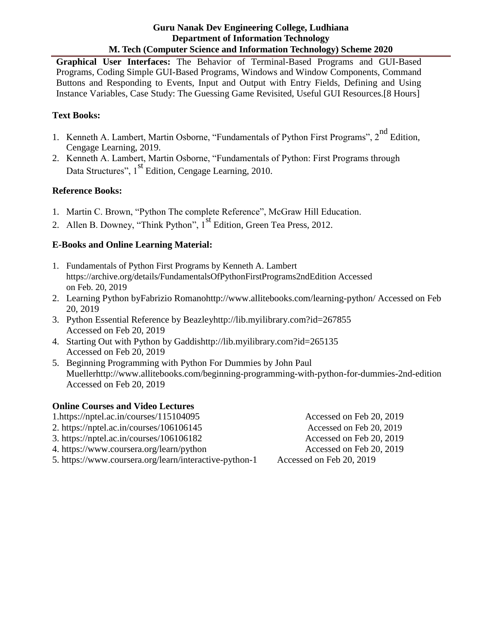**Graphical User Interfaces:** The Behavior of Terminal-Based Programs and GUI-Based Programs, Coding Simple GUI-Based Programs, Windows and Window Components, Command Buttons and Responding to Events, Input and Output with Entry Fields, Defining and Using Instance Variables, Case Study: The Guessing Game Revisited, Useful GUI Resources.[8 Hours]

# **Text Books:**

- 1. Kenneth A. Lambert, Martin Osborne, "Fundamentals of Python First Programs", 2<sup>nd</sup> Edition, Cengage Learning, 2019.
- 2. Kenneth A. Lambert, Martin Osborne, "Fundamentals of Python: First Programs through Data Structures", 1<sup>st</sup> Edition, Cengage Learning, 2010.

# **Reference Books:**

- 1. Martin C. Brown, "Python The complete Reference", McGraw Hill Education.
- 2. Allen B. Downey, "Think Python",  $1<sup>st</sup>$  Edition, Green Tea Press, 2012.

# **E-Books and Online Learning Material:**

- 1. Fundamentals of Python First Programs by Kenneth A. Lambert https://archive.org/details/FundamentalsOfPythonFirstPrograms2ndEdition Accessed on Feb. 20, 2019
- 2. Learning Python byFabrizio Romanohttp://www.allitebooks.com/learning-python/ Accessed on Feb 20, 2019
- 3. Python Essential Reference by Beazleyhttp://lib.myilibrary.com?id=267855 Accessed on Feb 20, 2019
- 4. Starting Out with Python by Gaddishttp://lib.myilibrary.com?id=265135 Accessed on Feb 20, 2019
- 5. Beginning Programming with Python For Dummies by John Paul Muellerhttp://www.allitebooks.com/beginning-programming-with-python-for-dummies-2nd-edition Accessed on Feb 20, 2019

# **Online Courses and Video Lectures**

- 1.https://nptel.ac.in/courses/115104095
- 2. [https://nptel.ac.in/courses/106106145](https://nptel.ac.in/courses/106106145/)
- 3.<https://nptel.ac.in/courses/106106182>
- 4.<https://www.coursera.org/learn/python>
- 5.<https://www.coursera.org/learn/interactive-python-1>

Accessed on Feb 20, 2019 Accessed on Feb 20, 2019 Accessed on Feb 20, 2019 Accessed on Feb 20, 2019 Accessed on Feb 20, 2019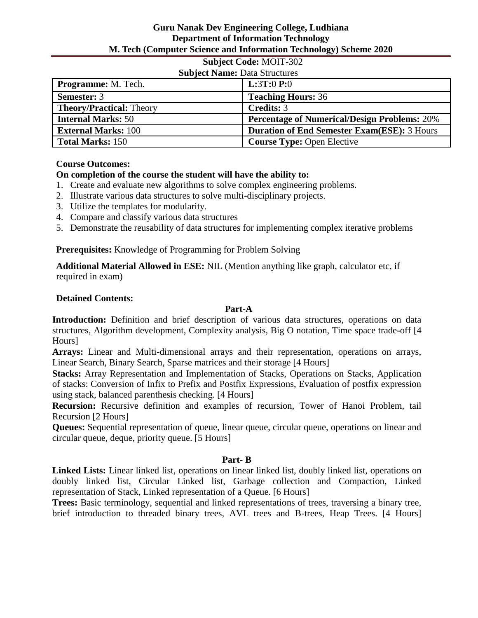# **Subject Code:** MOIT-302

| <b>Subject Name: Data Structures</b> |                                                     |
|--------------------------------------|-----------------------------------------------------|
| <b>Programme:</b> M. Tech.           | <b>L:3T:0 P:0</b>                                   |
| <b>Semester: 3</b>                   | <b>Teaching Hours: 36</b>                           |
| <b>Theory/Practical: Theory</b>      | <b>Credits: 3</b>                                   |
| <b>Internal Marks: 50</b>            | <b>Percentage of Numerical/Design Problems: 20%</b> |
| <b>External Marks: 100</b>           | <b>Duration of End Semester Exam(ESE): 3 Hours</b>  |
| <b>Total Marks: 150</b>              | <b>Course Type: Open Elective</b>                   |

# **Course Outcomes:**

# **On completion of the course the student will have the ability to:**

- 1. Create and evaluate new algorithms to solve complex engineering problems.
- 2. Illustrate various data structures to solve multi-disciplinary projects.
- 3. Utilize the templates for modularity.
- 4. Compare and classify various data structures
- 5. Demonstrate the reusability of data structures for implementing complex iterative problems

**Prerequisites:** Knowledge of Programming for Problem Solving

**Additional Material Allowed in ESE:** NIL (Mention anything like graph, calculator etc, if required in exam)

#### **Detained Contents:**

#### **Part-A**

**Introduction:** Definition and brief description of various data structures, operations on data structures, Algorithm development, Complexity analysis, Big O notation, Time space trade-off [4 Hours]

**Arrays:** Linear and Multi-dimensional arrays and their representation, operations on arrays, Linear Search, Binary Search, Sparse matrices and their storage [4 Hours]

**Stacks:** Array Representation and Implementation of Stacks, Operations on Stacks, Application of stacks: Conversion of Infix to Prefix and Postfix Expressions, Evaluation of postfix expression using stack, balanced parenthesis checking. [4 Hours]

**Recursion:** Recursive definition and examples of recursion, Tower of Hanoi Problem, tail Recursion [2 Hours]

**Queues:** Sequential representation of queue, linear queue, circular queue, operations on linear and circular queue, deque, priority queue. [5 Hours]

#### **Part- B**

**Linked Lists:** Linear linked list, operations on linear linked list, doubly linked list, operations on doubly linked list, Circular Linked list, Garbage collection and Compaction, Linked representation of Stack, Linked representation of a Queue. [6 Hours]

**Trees:** Basic terminology, sequential and linked representations of trees, traversing a binary tree, brief introduction to threaded binary trees, AVL trees and B-trees, Heap Trees. [4 Hours]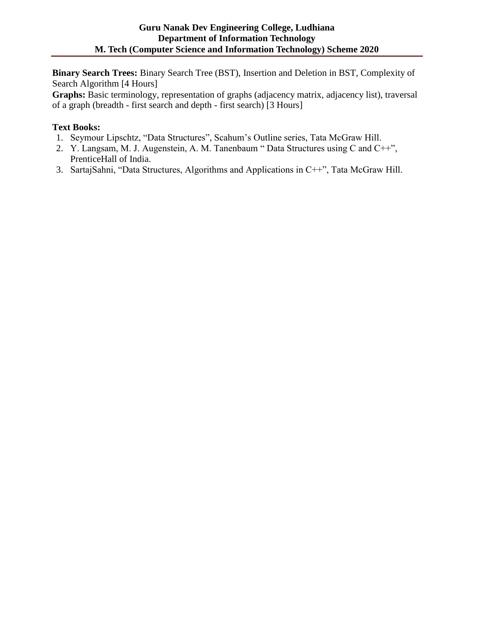**Binary Search Trees:** Binary Search Tree (BST), Insertion and Deletion in BST, Complexity of Search Algorithm [4 Hours]

**Graphs:** Basic terminology, representation of graphs (adjacency matrix, adjacency list), traversal of a graph (breadth - first search and depth - first search) [3 Hours]

# **Text Books:**

- 1. Seymour Lipschtz, "Data Structures", Scahum's Outline series, Tata McGraw Hill.
- 2. Y. Langsam, M. J. Augenstein, A. M. Tanenbaum " Data Structures using C and C++", PrenticeHall of India.
- 3. SartajSahni, "Data Structures, Algorithms and Applications in C++", Tata McGraw Hill.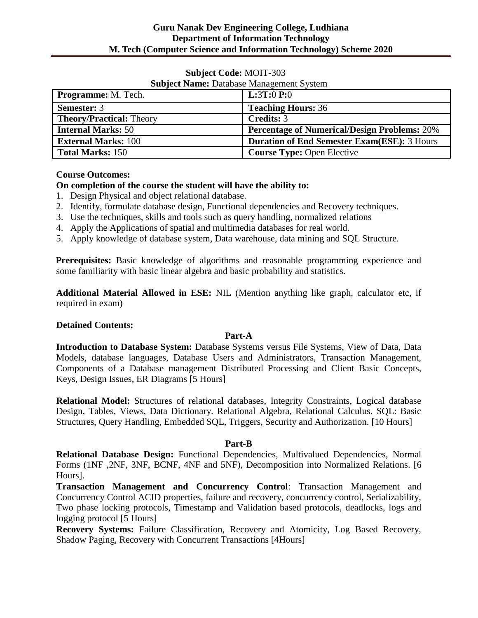#### **Subject Code:** MOIT-303

| <b>Programme:</b> M. Tech.      | <b>L:3T:0 P:0</b>                                   |
|---------------------------------|-----------------------------------------------------|
| <b>Semester: 3</b>              | <b>Teaching Hours: 36</b>                           |
| <b>Theory/Practical: Theory</b> | <b>Credits: 3</b>                                   |
| <b>Internal Marks: 50</b>       | <b>Percentage of Numerical/Design Problems: 20%</b> |
| <b>External Marks: 100</b>      | <b>Duration of End Semester Exam(ESE): 3 Hours</b>  |
| <b>Total Marks: 150</b>         | <b>Course Type: Open Elective</b>                   |

# **Subject Name:** Database Management System

# **Course Outcomes:**

# **On completion of the course the student will have the ability to:**

- 1. Design Physical and object relational database.
- 2. Identify, formulate database design, Functional dependencies and Recovery techniques.
- 3. Use the techniques, skills and tools such as query handling, normalized relations
- 4. Apply the Applications of spatial and multimedia databases for real world.
- 5. Apply knowledge of database system, Data warehouse, data mining and SQL Structure.

**Prerequisites:** Basic knowledge of algorithms and reasonable programming experience and some familiarity with basic linear algebra and basic probability and statistics.

**Additional Material Allowed in ESE:** NIL (Mention anything like graph, calculator etc, if required in exam)

#### **Detained Contents:**

#### **Part-A**

**Introduction to Database System:** Database Systems versus File Systems, View of Data, Data Models, database languages, Database Users and Administrators, Transaction Management, Components of a Database management Distributed Processing and Client Basic Concepts, Keys, Design Issues, ER Diagrams [5 Hours]

**Relational Model:** Structures of relational databases, Integrity Constraints, Logical database Design, Tables, Views, Data Dictionary. Relational Algebra, Relational Calculus. SQL: Basic Structures, Query Handling, Embedded SQL, Triggers, Security and Authorization. [10 Hours]

#### **Part-B**

**Relational Database Design:** Functional Dependencies, Multivalued Dependencies, Normal Forms (1NF ,2NF, 3NF, BCNF, 4NF and 5NF), Decomposition into Normalized Relations. [6 Hours].

**Transaction Management and Concurrency Control**: Transaction Management and Concurrency Control ACID properties, failure and recovery, concurrency control, Serializability, Two phase locking protocols, Timestamp and Validation based protocols, deadlocks, logs and logging protocol [5 Hours]

**Recovery Systems:** Failure Classification, Recovery and Atomicity, Log Based Recovery, Shadow Paging, Recovery with Concurrent Transactions [4Hours]